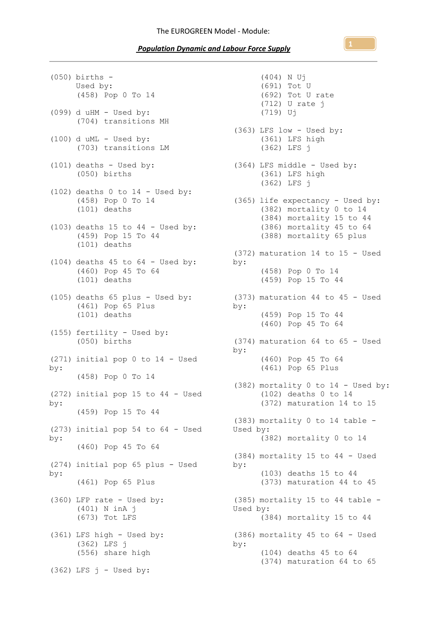## *Population Dynamic and Labour Force Supply*

(050) births - Used by: (458) Pop 0 To 14  $(099)$  d uHM - Used by: (704) transitions MH  $(100)$  d uML - Used by: (703) transitions LM (101) deaths - Used by: (050) births (102) deaths  $0$  to  $14$  - Used by: (458) Pop 0 To 14 (101) deaths  $(103)$  deaths 15 to 44 - Used by: (459) Pop 15 To 44 (101) deaths  $(104)$  deaths 45 to 64 - Used by: (460) Pop 45 To 64 (101) deaths (105) deaths 65 plus - Used by: (461) Pop 65 Plus (101) deaths (155) fertility - Used by: (050) births (271) initial pop 0 to 14 - Used by: (458) Pop 0 To 14 (272) initial pop 15 to 44 - Used by: (459) Pop 15 To 44 (273) initial pop 54 to 64 - Used by: (460) Pop 45 To 64 (274) initial pop 65 plus - Used by: (461) Pop 65 Plus (360) LFP rate - Used by: (401) N inA j (673) Tot LFS (361) LFS high - Used by: (362) LFS j (556) share high  $(362)$  LFS  $j$  - Used by:

(404) N Uj (691) Tot U (692) Tot U rate (712) U rate j (719) Uj (363) LFS low - Used by: (361) LFS high (362) LFS j (364) LFS middle - Used by: (361) LFS high (362) LFS j (365) life expectancy - Used by: (382) mortality 0 to 14 (384) mortality 15 to 44 (386) mortality 45 to 64 (388) mortality 65 plus (372) maturation 14 to 15 - Used by: (458) Pop 0 To 14 (459) Pop 15 To 44 (373) maturation 44 to 45 - Used by: (459) Pop 15 To 44 (460) Pop 45 To 64 (374) maturation 64 to 65 - Used by: (460) Pop 45 To 64 (461) Pop 65 Plus (382) mortality 0 to 14 - Used by: (102) deaths 0 to 14 (372) maturation 14 to 15 (383) mortality 0 to 14 table - Used by: (382) mortality 0 to 14 (384) mortality 15 to 44 - Used by: (103) deaths 15 to 44 (373) maturation 44 to 45 (385) mortality 15 to 44 table - Used by: (384) mortality 15 to 44 (386) mortality 45 to 64 - Used by: (104) deaths 45 to 64 (374) maturation 64 to 65

**1**